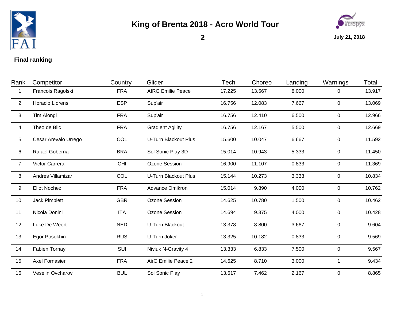

## **King of Brenta 2018 - Acro World Tour**



**2**

**July 21, 2018**

## **Final ranking**

| Rank           | Competitor           | Country    | Glider                      | Tech   | Choreo | Landing | Warnings       | Total  |
|----------------|----------------------|------------|-----------------------------|--------|--------|---------|----------------|--------|
| -1             | Francois Ragolski    | <b>FRA</b> | <b>AIRG Emilie Peace</b>    | 17.225 | 13.567 | 8.000   | 0              | 13.917 |
| 2              | Horacio Llorens      | <b>ESP</b> | Sup'air                     | 16.756 | 12.083 | 7.667   | $\overline{0}$ | 13.069 |
| $\mathbf{3}$   | Tim Alongi           | <b>FRA</b> | Sup'air                     | 16.756 | 12.410 | 6.500   | 0              | 12.966 |
| 4              | Theo de Blic         | <b>FRA</b> | <b>Gradient Agility</b>     | 16.756 | 12.167 | 5.500   | 0              | 12.669 |
| 5 <sup>5</sup> | Cesar Arevalo Urrego | COL        | <b>U-Turn Blackout Plus</b> | 15.600 | 10.047 | 6.667   | 0              | 11.592 |
| 6              | Rafael Goberna       | <b>BRA</b> | Sol Sonic Play 3D           | 15.014 | 10.943 | 5.333   | $\overline{0}$ | 11.450 |
| $\overline{7}$ | Victor Carrera       | <b>CHI</b> | Ozone Session               | 16.900 | 11.107 | 0.833   | $\overline{0}$ | 11.369 |
| 8              | Andres Villamizar    | COL        | <b>U-Turn Blackout Plus</b> | 15.144 | 10.273 | 3.333   | 0              | 10.834 |
| 9              | <b>Eliot Nochez</b>  | <b>FRA</b> | Advance Omikron             | 15.014 | 9.890  | 4.000   | 0              | 10.762 |
| 10             | Jack Pimplett        | <b>GBR</b> | Ozone Session               | 14.625 | 10.780 | 1.500   | 0              | 10.462 |
| 11             | Nicola Donini        | <b>ITA</b> | Ozone Session               | 14.694 | 9.375  | 4.000   | $\mathbf 0$    | 10.428 |
| 12             | Luke De Weert        | <b>NED</b> | U-Turn Blackout             | 13.378 | 8.800  | 3.667   | 0              | 9.604  |
| 13             | Egor Posokhin        | <b>RUS</b> | U-Turn Joker                | 13.325 | 10.182 | 0.833   | $\overline{0}$ | 9.569  |
| 14             | <b>Fabien Tornay</b> | SUI        | Niviuk N-Gravity 4          | 13.333 | 6.833  | 7.500   | $\overline{0}$ | 9.567  |
| 15             | Axel Fornasier       | <b>FRA</b> | AirG Emilie Peace 2         | 14.625 | 8.710  | 3.000   | 1              | 9.434  |
| 16             | Veselin Ovcharov     | <b>BUL</b> | Sol Sonic Play              | 13.617 | 7.462  | 2.167   | 0              | 8.865  |